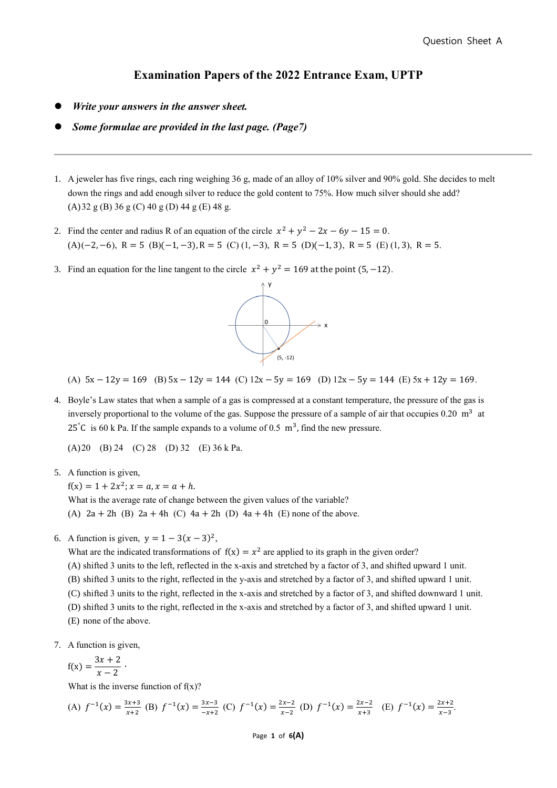## **Examination Papers of the 2022 Entrance Exam, UPTP**

- ⚫ *Write your answers in the answer sheet.*
- ⚫ *Some formulae are provided in the last page. (Page7)*
- 1. A jeweler has five rings, each ring weighing 36 g, made of an alloy of 10% silver and 90% gold. She decides to melt down the rings and add enough silver to reduce the gold content to 75%. How much silver should she add? (A)32 g (B) 36 g (C) 40 g (D) 44 g (E) 48 g.
- 2. Find the center and radius R of an equation of the circle  $x^2 + y^2 2x 6y 15 = 0$ .  $(A)(-2, -6), R = 5 (B)(-1, -3), R = 5 (C)(1, -3), R = 5 (D)(-1, 3), R = 5 (E)(1, 3), R = 5.$
- 3. Find an equation for the line tangent to the circle  $x^2 + y^2 = 169$  at the point (5, -12).



(A)  $5x - 12y = 169$  (B)  $5x - 12y = 144$  (C)  $12x - 5y = 169$  (D)  $12x - 5y = 144$  (E)  $5x + 12y = 169$ .

4. Boyle's Law states that when a sample of a gas is compressed at a constant temperature, the pressure of the gas is inversely proportional to the volume of the gas. Suppose the pressure of a sample of air that occupies  $0.20 \text{ m}^3$  at 25°C is 60 k Pa. If the sample expands to a volume of 0.5  $\text{m}^3$ , find the new pressure.

(A)20 (B) 24 (C) 28 (D) 32 (E) 36 k Pa.

5. A function is given,

 $f(x) = 1 + 2x^2$ ;  $x = a, x = a + h$ .

What is the average rate of change between the given values of the variable? (A)  $2a + 2h$  (B)  $2a + 4h$  (C)  $4a + 2h$  (D)  $4a + 4h$  (E) none of the above.

6. A function is given,  $y = 1 - 3(x - 3)^2$ ,

What are the indicated transformations of  $f(x) = x^2$  are applied to its graph in the given order? (A) shifted 3 units to the left, reflected in the x-axis and stretched by a factor of 3, and shifted upward 1 unit. (B) shifted 3 units to the right, reflected in the y-axis and stretched by a factor of 3, and shifted upward 1 unit. (C) shifted 3 units to the right, reflected in the x-axis and stretched by a factor of 3, and shifted downward 1 unit. (D) shifted 3 units to the right, reflected in the x-axis and stretched by a factor of 3, and shifted upward 1 unit. (E) none of the above.

7. A function is given,

$$
f(x) = \frac{3x+2}{x-2} \cdot
$$

What is the inverse function of  $f(x)$ ?

(A) 
$$
f^{-1}(x) = \frac{3x+3}{x+2}
$$
 (B)  $f^{-1}(x) = \frac{3x-3}{-x+2}$  (C)  $f^{-1}(x) = \frac{2x-2}{x-2}$  (D)  $f^{-1}(x) = \frac{2x-2}{x+3}$  (E)  $f^{-1}(x) = \frac{2x+2}{x-3}$ 

Page **1** of **6(A)**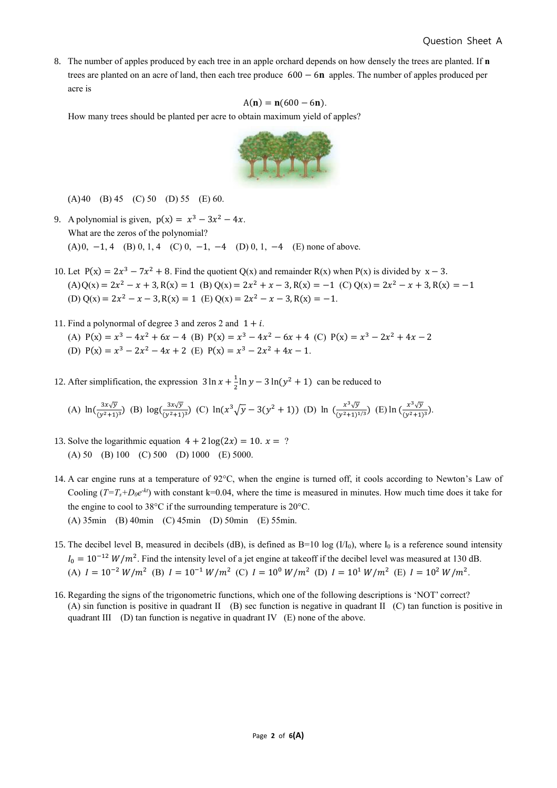8. The number of apples produced by each tree in an apple orchard depends on how densely the trees are planted. If **n** trees are planted on an acre of land, then each tree produce  $600 - 6n$  apples. The number of apples produced per acre is

$$
A(n) = n(600 - 6n).
$$

How many trees should be planted per acre to obtain maximum yield of apples?



(A)40 (B) 45 (C) 50 (D) 55 (E) 60.

- 9. A polynomial is given,  $p(x) = x^3 3x^2 4x$ . What are the zeros of the polynomial? (A) 0, -1, 4 (B) 0, 1, 4 (C) 0, -1, -4 (D) 0, 1, -4 (E) none of above.
- 10. Let  $P(x) = 2x^3 7x^2 + 8$ . Find the quotient Q(x) and remainder R(x) when P(x) is divided by  $x 3$ .  $(A)Q(x) = 2x^2 - x + 3$ ,  $R(x) = 1$  (B)  $Q(x) = 2x^2 + x - 3$ ,  $R(x) = -1$  (C)  $Q(x) = 2x^2 - x + 3$ ,  $R(x) = -1$ (D)  $Q(x) = 2x^2 - x - 3$ ,  $R(x) = 1$  (E)  $Q(x) = 2x^2 - x - 3$ ,  $R(x) = -1$ .
- 11. Find a polynormal of degree 3 and zeros 2 and  $1 + i$ . (A)  $P(x) = x^3 - 4x^2 + 6x - 4$  (B)  $P(x) = x^3 - 4x^2 - 6x + 4$  (C)  $P(x) = x^3 - 2x^2 + 4x - 2$ (D)  $P(x) = x^3 - 2x^2 - 4x + 2$  (E)  $P(x) = x^3 - 2x^2 + 4x - 1$ .
- 12. After simplification, the expression  $3 \ln x + \frac{1}{2}$  $\frac{1}{2}$ ln  $y - 3 \ln(y^2 + 1)$  can be reduced to

(A) 
$$
\ln(\frac{3x\sqrt{y}}{(y^2+1)^3})
$$
 (B)  $\log(\frac{3x\sqrt{y}}{(y^2+1)^3})$  (C)  $\ln(x^3\sqrt{y}-3(y^2+1))$  (D)  $\ln(\frac{x^3\sqrt{y}}{(y^2+1)^{1/3}})$  (E)  $\ln(\frac{x^3\sqrt{y}}{(y^2+1)^3})$ .

- 13. Solve the logarithmic equation  $4 + 2 \log(2x) = 10$ .  $x = ?$ (A) 50 (B) 100 (C) 500 (D) 1000 (E) 5000.
- 14. A car engine runs at a temperature of 92°C, when the engine is turned off, it cools according to Newton's Law of Cooling  $(T=T_s+D_0e^{-kt})$  with constant k=0.04, where the time is measured in minutes. How much time does it take for the engine to cool to 38°C if the surrounding temperature is 20°C. (A) 35min (B) 40min (C) 45min (D) 50min (E) 55min.
- 15. The decibel level B, measured in decibels (dB), is defined as  $B=10 \log (1/I_0)$ , where  $I_0$  is a reference sound intensity  $I_0 = 10^{-12} W/m^2$ . Find the intensity level of a jet engine at takeoff if the decibel level was measured at 130 dB. (A)  $I = 10^{-2} W/m^2$  (B)  $I = 10^{-1} W/m^2$  (C)  $I = 10^0 W/m^2$  (D)  $I = 10^1 W/m^2$  (E)  $I = 10^2 W/m^2$ .
- 16. Regarding the signs of the trigonometric functions, which one of the following descriptions is 'NOT' correct? (A) sin function is positive in quadrant II (B) sec function is negative in quadrant II (C) tan function is positive in quadrant III (D) tan function is negative in quadrant IV (E) none of the above.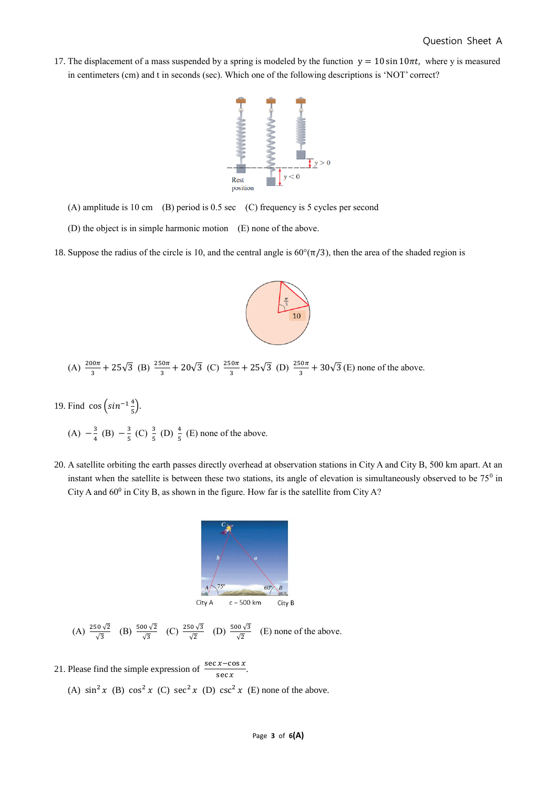17. The displacement of a mass suspended by a spring is modeled by the function  $y = 10 \sin 10\pi t$ , where y is measured in centimeters (cm) and t in seconds (sec). Which one of the following descriptions is 'NOT' correct?



- (A) amplitude is 10 cm (B) period is 0.5 sec (C) frequency is 5 cycles per second
- (D) the object is in simple harmonic motion (E) none of the above.
- 18. Suppose the radius of the circle is 10, and the central angle is  $60^{\circ}(\pi/3)$ , then the area of the shaded region is



(A) 
$$
\frac{200\pi}{3}
$$
 + 25 $\sqrt{3}$  (B)  $\frac{250\pi}{3}$  + 20 $\sqrt{3}$  (C)  $\frac{250\pi}{3}$  + 25 $\sqrt{3}$  (D)  $\frac{250\pi}{3}$  + 30 $\sqrt{3}$  (E) none of the above.

19. Find cos  $\left(\sin^{-1}\frac{4}{5}\right)$  $\frac{1}{5}$ ).

(A) 
$$
-\frac{3}{4}
$$
 (B)  $-\frac{3}{5}$  (C)  $\frac{3}{5}$  (D)  $\frac{4}{5}$  (E) none of the above.

20. A satellite orbiting the earth passes directly overhead at observation stations in City A and City B, 500 km apart. At an instant when the satellite is between these two stations, its angle of elevation is simultaneously observed to be  $75^0$  in City A and  $60^0$  in City B, as shown in the figure. How far is the satellite from City A?



(A) 
$$
\frac{250\sqrt{2}}{\sqrt{3}}
$$
 (B)  $\frac{500\sqrt{2}}{\sqrt{3}}$  (C)  $\frac{250\sqrt{3}}{\sqrt{2}}$  (D)  $\frac{500\sqrt{3}}{\sqrt{2}}$  (E) none of the above.

- 21. Please find the simple expression of  $\frac{\sec x \cos x}{\cos x}$  $\frac{x \cos x}{\sec x}$ .
	- (A)  $\sin^2 x$  (B)  $\cos^2 x$  (C)  $\sec^2 x$  (D)  $\csc^2 x$  (E) none of the above.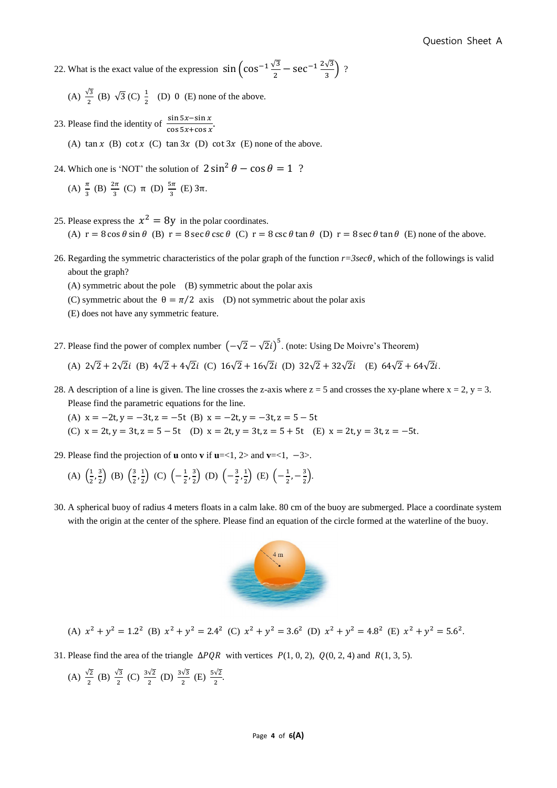22. What is the exact value of the expression  $\sin \left( \cos^{-1} \frac{\sqrt{3}}{2} - \sec^{-1} \frac{2\sqrt{3}}{3} \right)$  $\frac{\sqrt{3}}{3}$  ?

(A)  $\frac{\sqrt{3}}{2}$  (B)  $\sqrt{3}$  (C)  $\frac{1}{2}$  (D) 0 (E) none of the above.

23. Please find the identity of  $\frac{\sin 5x - \sin x}{\sin 5x + \sin 5x}$  $\frac{\sin 3x - \sin x}{\cos 5x + \cos x}$ .

(A)  $\tan x$  (B)  $\cot x$  (C)  $\tan 3x$  (D)  $\cot 3x$  (E) none of the above.

24. Which one is 'NOT' the solution of  $2 \sin^2 \theta - \cos \theta = 1$  ?

(A) 
$$
\frac{\pi}{3}
$$
 (B)  $\frac{2\pi}{3}$  (C)  $\pi$  (D)  $\frac{5\pi}{3}$  (E)  $3\pi$ .

25. Please express the  $x^2 = 8y$  in the polar coordinates.

(A)  $r = 8 \cos \theta \sin \theta$  (B)  $r = 8 \sec \theta \csc \theta$  (C)  $r = 8 \csc \theta \tan \theta$  (D)  $r = 8 \sec \theta \tan \theta$  (E) none of the above.

- 26. Regarding the symmetric characteristics of the polar graph of the function  $r=3\sec\theta$ , which of the followings is valid about the graph?
	- (A) symmetric about the pole (B) symmetric about the polar axis
	- (C) symmetric about the  $\theta = \pi/2$  axis (D) not symmetric about the polar axis
	- (E) does not have any symmetric feature.

27. Please find the power of complex number  $(-\sqrt{2}-\sqrt{2}i)^5$ . (note: Using De Moivre's Theorem) (A)  $2\sqrt{2} + 2\sqrt{2}i$  (B)  $4\sqrt{2} + 4\sqrt{2}i$  (C)  $16\sqrt{2} + 16\sqrt{2}i$  (D)  $32\sqrt{2} + 32\sqrt{2}i$  (E)  $64\sqrt{2} + 64\sqrt{2}i$ .

28. A description of a line is given. The line crosses the z-axis where  $z = 5$  and crosses the xy-plane where  $x = 2$ ,  $y = 3$ . Please find the parametric equations for the line.

(A)  $x = -2t, y = -3t, z = -5t$  (B)  $x = -2t, y = -3t, z = 5 - 5t$ 

(C)  $x = 2t, y = 3t, z = 5 - 5t$  (D)  $x = 2t, y = 3t, z = 5 + 5t$  (E)  $x = 2t, y = 3t, z = -5t$ .

29. Please find the projection of **u** onto **v** if  $u = < 1$ , 2> and  $v = < 1$ ,  $-3>$ .

(A) 
$$
\left(\frac{1}{2}, \frac{3}{2}\right)
$$
 (B)  $\left(\frac{3}{2}, \frac{1}{2}\right)$  (C)  $\left(-\frac{1}{2}, \frac{3}{2}\right)$  (D)  $\left(-\frac{3}{2}, \frac{1}{2}\right)$  (E)  $\left(-\frac{1}{2}, -\frac{3}{2}\right)$ .

30. A spherical buoy of radius 4 meters floats in a calm lake. 80 cm of the buoy are submerged. Place a coordinate system with the origin at the center of the sphere. Please find an equation of the circle formed at the waterline of the buoy.



(A) 
$$
x^2 + y^2 = 1.2^2
$$
 (B)  $x^2 + y^2 = 2.4^2$  (C)  $x^2 + y^2 = 3.6^2$  (D)  $x^2 + y^2 = 4.8^2$  (E)  $x^2 + y^2 = 5.6^2$ .

31. Please find the area of the triangle  $\Delta PQR$  with vertices  $P(1, 0, 2)$ ,  $Q(0, 2, 4)$  and  $R(1, 3, 5)$ .

(A) 
$$
\frac{\sqrt{2}}{2}
$$
 (B)  $\frac{\sqrt{3}}{2}$  (C)  $\frac{3\sqrt{2}}{2}$  (D)  $\frac{3\sqrt{3}}{2}$  (E)  $\frac{5\sqrt{2}}{2}$ .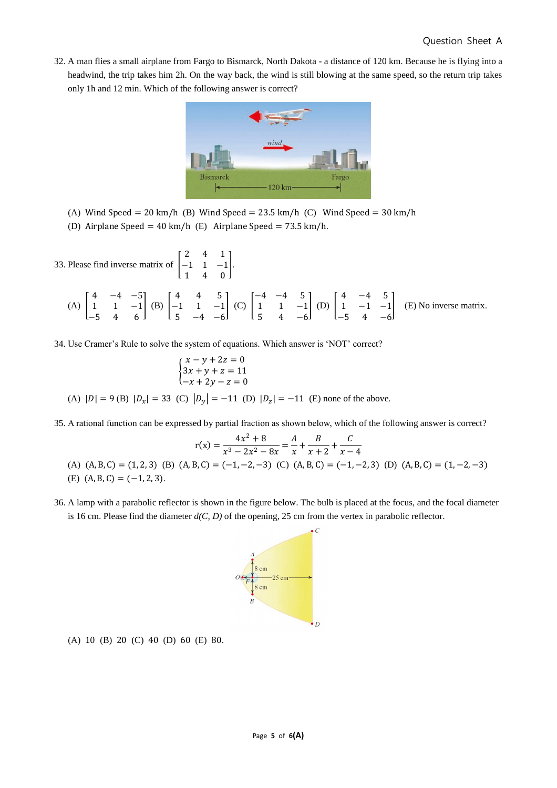32. A man flies a small airplane from Fargo to Bismarck, North Dakota - a distance of 120 km. Because he is flying into a headwind, the trip takes him 2h. On the way back, the wind is still blowing at the same speed, so the return trip takes only 1h and 12 min. Which of the following answer is correct?



- (A) Wind Speed = 20 km/h (B) Wind Speed =  $23.5$  km/h (C) Wind Speed =  $30$  km/h
- (D) Airplane Speed = 40 km/h (E) Airplane Speed = 73.5 km/h.

33. Please find inverse matrix of  $\parallel$ 2 4 1 −1 1 −1 1 4 0 ].

(A) 
$$
\begin{bmatrix} 4 & -4 & -5 \\ 1 & 1 & -1 \\ -5 & 4 & 6 \end{bmatrix}
$$
 (B)  $\begin{bmatrix} 4 & 4 & 5 \\ -1 & 1 & -1 \\ 5 & -4 & -6 \end{bmatrix}$  (C)  $\begin{bmatrix} -4 & -4 & 5 \\ 1 & 1 & -1 \\ 5 & 4 & -6 \end{bmatrix}$  (D)  $\begin{bmatrix} 4 & -4 & 5 \\ 1 & -1 & -1 \\ -5 & 4 & -6 \end{bmatrix}$  (E) No inverse matrix.

34. Use Cramer's Rule to solve the system of equations. Which answer is 'NOT' correct?

$$
\begin{cases}\nx - y + 2z = 0 \\
3x + y + z = 11 \\
-x + 2y - z = 0\n\end{cases}
$$
\n(A)  $|D| = 9$  (B)  $|D_x| = 33$  (C)  $|D_y| = -11$  (D)  $|D_z| = -11$  (E) none of the above.

35. A rational function can be expressed by partial fraction as shown below, which of the following answer is correct?

$$
r(x) = \frac{4x^2 + 8}{x^3 - 2x^2 - 8x} = \frac{A}{x} + \frac{B}{x+2} + \frac{C}{x-4}
$$
  
(A) (A, B, C) = (1, 2, 3) (B) (A, B, C) = (-1, -2, -3) (C) (A, B, C) = (-1, -2, 3) (D) (A, B, C) = (1, -2, -3)  
(E) (A, B, C) = (-1, 2, 3).

36. A lamp with a parabolic reflector is shown in the figure below. The bulb is placed at the focus, and the focal diameter is 16 cm. Please find the diameter *d(C, D)* of the opening, 25 cm from the vertex in parabolic reflector.



(A) 10 (B) 20 (C) 40 (D) 60 (E) 80.